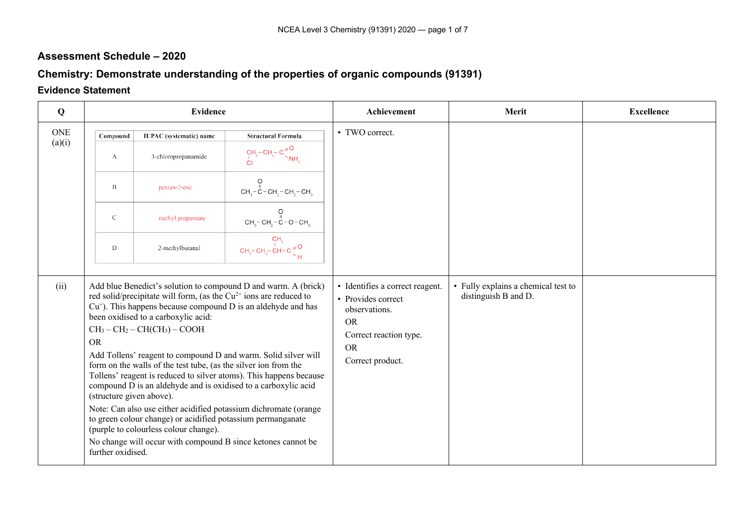## **Assessment Schedule – 2020**

## **Chemistry: Demonstrate understanding of the properties of organic compounds (91391)**

## **Evidence Statement**

| $\bf{Q}$   |                                                            | <b>Evidence</b>                                                                                                                                                                                                                                                                                                          |                                                                                                                                                                                                                                                                                                                                                                                                                                                                                 | Achievement                                                                                                                                    | Merit                                                       | <b>Excellence</b> |
|------------|------------------------------------------------------------|--------------------------------------------------------------------------------------------------------------------------------------------------------------------------------------------------------------------------------------------------------------------------------------------------------------------------|---------------------------------------------------------------------------------------------------------------------------------------------------------------------------------------------------------------------------------------------------------------------------------------------------------------------------------------------------------------------------------------------------------------------------------------------------------------------------------|------------------------------------------------------------------------------------------------------------------------------------------------|-------------------------------------------------------------|-------------------|
| <b>ONE</b> | Compound                                                   | <b>IUPAC</b> (systematic) name                                                                                                                                                                                                                                                                                           | <b>Structural Formula</b>                                                                                                                                                                                                                                                                                                                                                                                                                                                       | • TWO correct.                                                                                                                                 |                                                             |                   |
| (a)(i)     | A                                                          | 3-chloropropanamide                                                                                                                                                                                                                                                                                                      | $\text{CH}_{2}^{\text{--}}\text{CH}_{2}^{\text{--}}\text{C}^{\text{--}}_{\text{--}}\text{C}^{\text{--}}_{\text{--}}$                                                                                                                                                                                                                                                                                                                                                            |                                                                                                                                                |                                                             |                   |
|            | $\, {\bf B}$                                               | pentan-2-one                                                                                                                                                                                                                                                                                                             | $\overline{O}$<br>$CH3-C-CH2-CH3-CH3$                                                                                                                                                                                                                                                                                                                                                                                                                                           |                                                                                                                                                |                                                             |                   |
|            | $\mathcal{C}$                                              | methyl propanoate                                                                                                                                                                                                                                                                                                        | CH <sub>3</sub> – CH <sub>2</sub> – C – O – CH <sub>3</sub>                                                                                                                                                                                                                                                                                                                                                                                                                     |                                                                                                                                                |                                                             |                   |
|            | $\mathbf D$                                                | 2-methylbutanal                                                                                                                                                                                                                                                                                                          | $CH_3-CH_2-CH-C \geq 0$                                                                                                                                                                                                                                                                                                                                                                                                                                                         |                                                                                                                                                |                                                             |                   |
| (ii)       | <b>OR</b><br>(structure given above).<br>further oxidised. | red solid/precipitate will form, (as the $Cu^{2+}$ ions are reduced to<br>been oxidised to a carboxylic acid:<br>$CH3 - CH2 - CH(CH3) - COOH$<br>form on the walls of the test tube, (as the silver ion from the<br>to green colour change) or acidified potassium permanganate<br>(purple to colourless colour change). | Add blue Benedict's solution to compound D and warm. A (brick)<br>$Cu+$ ). This happens because compound D is an aldehyde and has<br>Add Tollens' reagent to compound D and warm. Solid silver will<br>Tollens' reagent is reduced to silver atoms). This happens because<br>compound D is an aldehyde and is oxidised to a carboxylic acid<br>Note: Can also use either acidified potassium dichromate (orange<br>No change will occur with compound B since ketones cannot be | · Identifies a correct reagent.<br>• Provides correct<br>observations.<br><b>OR</b><br>Correct reaction type.<br><b>OR</b><br>Correct product. | • Fully explains a chemical test to<br>distinguish B and D. |                   |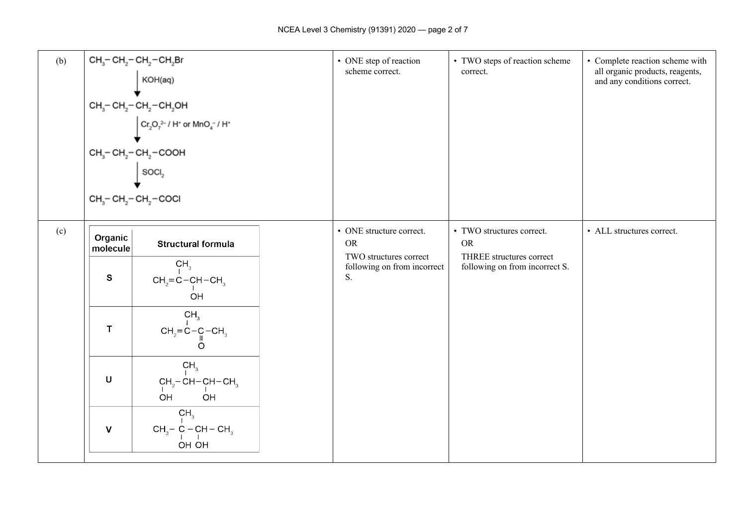| (b) |                          | $CH_3$ – CH <sub>2</sub> – CH <sub>2</sub> – CH <sub>2</sub> Br<br>KOH(aq)<br>$CH_3$ - $CH_2$ - $CH_2$ - $CH_2$ OH<br>$\int Cr_2O_7^{2-}/H^*$ or $MnO_4^-/H^*$<br>$CH_3$ - $CH_2$ - $CH_2$ - $COOH$<br>$\vert$ soci <sub>2</sub><br>$CH3-CH2-CH2-COCl$ | • ONE step of reaction<br>scheme correct.                   | • TWO steps of reaction scheme<br>correct.                 | • Complete reaction scheme with<br>all organic products, reagents,<br>and any conditions correct. |
|-----|--------------------------|--------------------------------------------------------------------------------------------------------------------------------------------------------------------------------------------------------------------------------------------------------|-------------------------------------------------------------|------------------------------------------------------------|---------------------------------------------------------------------------------------------------|
| (c) | Organic                  | <b>Structural formula</b>                                                                                                                                                                                                                              | • ONE structure correct.<br><b>OR</b>                       | • TWO structures correct.<br><b>OR</b>                     | • ALL structures correct.                                                                         |
|     | molecule<br>$\mathbf{s}$ | CH <sub>3</sub><br>$CH2=C-CH-CH3$<br>OH                                                                                                                                                                                                                | TWO structures correct<br>following on from incorrect<br>S. | THREE structures correct<br>following on from incorrect S. |                                                                                                   |
|     | T                        | CH <sub>3</sub><br>$CH_2 = C - C - CH_3$<br>O                                                                                                                                                                                                          |                                                             |                                                            |                                                                                                   |
|     | $\sf U$                  | CH <sub>3</sub><br>$CH_2$ -CH-CH-CH <sub>3</sub><br>OH<br>OH                                                                                                                                                                                           |                                                             |                                                            |                                                                                                   |
|     | $\mathbf{V}$             | CH <sub>3</sub><br>$CH_3$ – C – CH – CH <sub>3</sub><br>OH OH                                                                                                                                                                                          |                                                             |                                                            |                                                                                                   |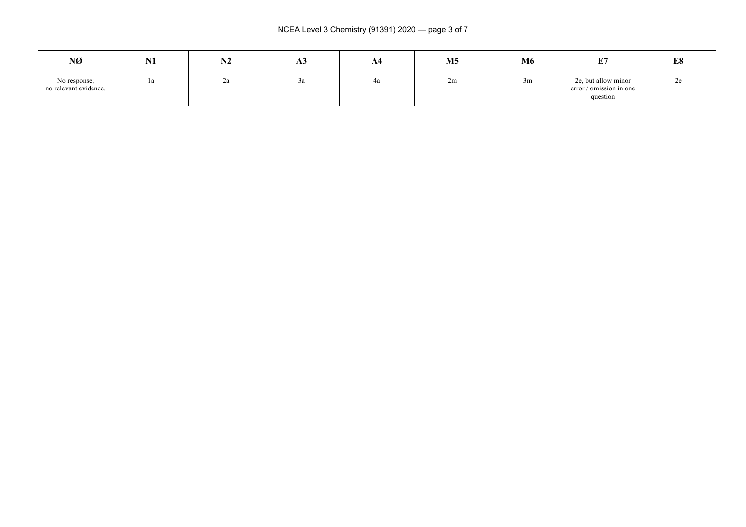| NØ                                    | N1 | <b>NIA</b><br>14Z | ЮJ | A4 | M <sub>5</sub> | M6 | E7                                                         | E8 |
|---------------------------------------|----|-------------------|----|----|----------------|----|------------------------------------------------------------|----|
| No response;<br>no relevant evidence. | 1a | ∠a                | Ja | 4a | 2m             | 3m | 2e, but allow minor<br>error / omission in one<br>question | ∠⊂ |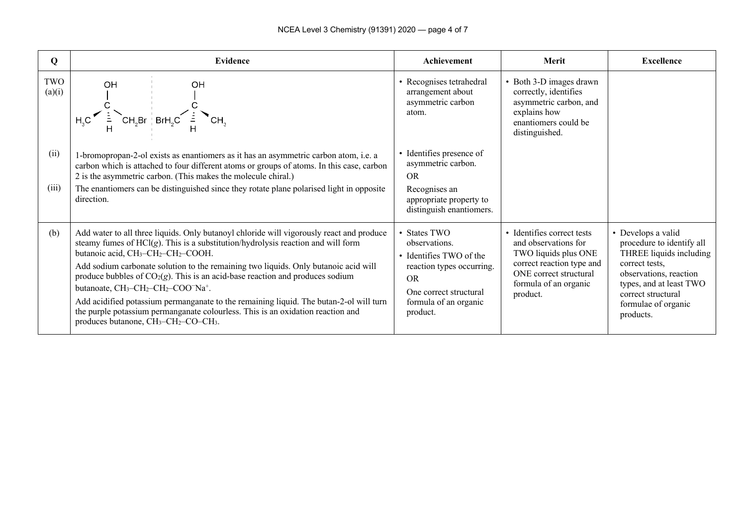| Q             | Evidence                                                                                                                                                                                                                                                                                                                                                                                                                                                                                                                                                                                                                                                                                                                                                                                           | Achievement                                                                                                                                                       | Merit                                                                                                                                                                  | <b>Excellence</b>                                                                                                                                                                                           |
|---------------|----------------------------------------------------------------------------------------------------------------------------------------------------------------------------------------------------------------------------------------------------------------------------------------------------------------------------------------------------------------------------------------------------------------------------------------------------------------------------------------------------------------------------------------------------------------------------------------------------------------------------------------------------------------------------------------------------------------------------------------------------------------------------------------------------|-------------------------------------------------------------------------------------------------------------------------------------------------------------------|------------------------------------------------------------------------------------------------------------------------------------------------------------------------|-------------------------------------------------------------------------------------------------------------------------------------------------------------------------------------------------------------|
| TWO<br>(a)(i) | OH<br><b>OH</b><br>$H_3C$ $H_4C$ $\left(\frac{1}{H_1}CH_2Br\right)$ $BrH_2C$ $\frac{1}{H_1}CH_3$ $CH_3$                                                                                                                                                                                                                                                                                                                                                                                                                                                                                                                                                                                                                                                                                            | • Recognises tetrahedral<br>arrangement about<br>asymmetric carbon<br>atom.                                                                                       | • Both 3-D images drawn<br>correctly, identifies<br>asymmetric carbon, and<br>explains how<br>enantiomers could be<br>distinguished.                                   |                                                                                                                                                                                                             |
| (ii)<br>(iii) | 1-bromopropan-2-ol exists as enantiomers as it has an asymmetric carbon atom, i.e. a<br>carbon which is attached to four different atoms or groups of atoms. In this case, carbon<br>2 is the asymmetric carbon. (This makes the molecule chiral.)<br>The enantiomers can be distinguished since they rotate plane polarised light in opposite<br>direction.                                                                                                                                                                                                                                                                                                                                                                                                                                       | • Identifies presence of<br>asymmetric carbon.<br>OR.<br>Recognises an<br>appropriate property to<br>distinguish enantiomers.                                     |                                                                                                                                                                        |                                                                                                                                                                                                             |
| (b)           | Add water to all three liquids. Only butanoyl chloride will vigorously react and produce<br>steamy fumes of $HCl(g)$ . This is a substitution/hydrolysis reaction and will form<br>butanoic acid, CH <sub>3</sub> -CH <sub>2</sub> -CH <sub>2</sub> -COOH.<br>Add sodium carbonate solution to the remaining two liquids. Only butanoic acid will<br>produce bubbles of $CO2(g)$ . This is an acid-base reaction and produces sodium<br>butanoate, CH <sub>3</sub> -CH <sub>2</sub> -CH <sub>2</sub> -COO <sup>-</sup> Na <sup>+</sup> .<br>Add acidified potassium permanganate to the remaining liquid. The butan-2-ol will turn<br>the purple potassium permanganate colourless. This is an oxidation reaction and<br>produces butanone, CH <sub>3</sub> -CH <sub>2</sub> -CO-CH <sub>3</sub> . | • States TWO<br>observations.<br>• Identifies TWO of the<br>reaction types occurring.<br><b>OR</b><br>One correct structural<br>formula of an organic<br>product. | • Identifies correct tests<br>and observations for<br>TWO liquids plus ONE<br>correct reaction type and<br>ONE correct structural<br>formula of an organic<br>product. | • Develops a valid<br>procedure to identify all<br>THREE liquids including<br>correct tests.<br>observations, reaction<br>types, and at least TWO<br>correct structural<br>formulae of organic<br>products. |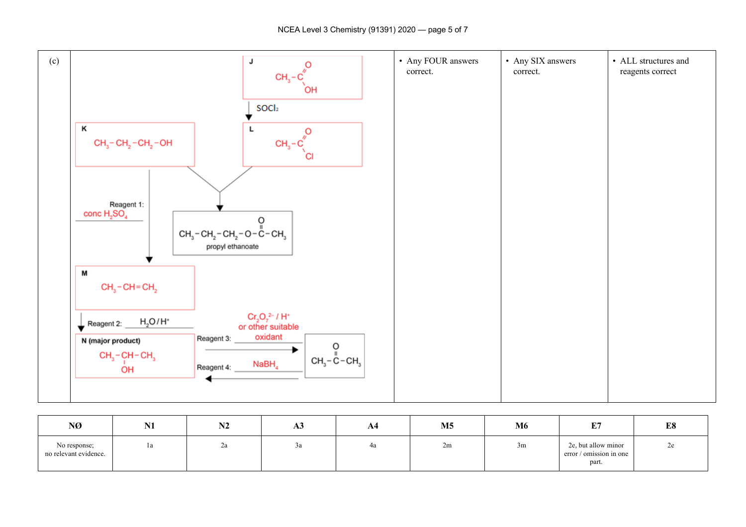

| NØ                                    | <b>BI4</b><br>17 T | <b>BIA</b><br>NZ | ĀЭ | A4 | M <sub>5</sub> | M6 | E/H<br><u>ا تا</u>                                      | E8 |
|---------------------------------------|--------------------|------------------|----|----|----------------|----|---------------------------------------------------------|----|
| No response;<br>no relevant evidence. | la                 | ∠a               | Ju | 4a | 2m             | 3m | 2e, but allow minor<br>error / omission in one<br>part. | 2e |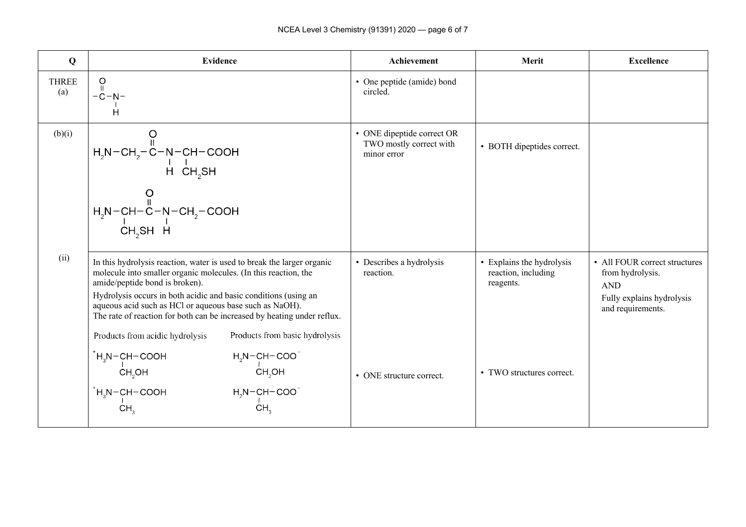| Q                   | <b>Evidence</b>                                                                                                                                                                                                                                                                                                                                                                                                                                           | <b>Achievement</b>                                                   | Merit                                                         | <b>Excellence</b>                                                                                                 |
|---------------------|-----------------------------------------------------------------------------------------------------------------------------------------------------------------------------------------------------------------------------------------------------------------------------------------------------------------------------------------------------------------------------------------------------------------------------------------------------------|----------------------------------------------------------------------|---------------------------------------------------------------|-------------------------------------------------------------------------------------------------------------------|
| <b>THREE</b><br>(a) | $\circ$<br>$\mathbf{H}$<br>$-C-N-$<br>Ĥ                                                                                                                                                                                                                                                                                                                                                                                                                   | • One peptide (amide) bond<br>circled.                               |                                                               |                                                                                                                   |
| (b)(i)              | $H_2N-CH_2-C-N-CH-COOH$<br>$HCH_2SH$<br>$H_2N-CH-C-N-CH_2-COOH$<br>$CH_2N+CH_2$<br>$CH_2SH$ $H$                                                                                                                                                                                                                                                                                                                                                           | • ONE dipeptide correct OR<br>TWO mostly correct with<br>minor error | • BOTH dipeptides correct.                                    |                                                                                                                   |
| (ii)                | In this hydrolysis reaction, water is used to break the larger organic<br>molecule into smaller organic molecules. (In this reaction, the<br>amide/peptide bond is broken).<br>Hydrolysis occurs in both acidic and basic conditions (using an<br>aqueous acid such as HCl or aqueous base such as NaOH).<br>The rate of reaction for both can be increased by heating under reflux.<br>Products from basic hydrolysis<br>Products from acidic hydrolysis | • Describes a hydrolysis<br>reaction.                                | • Explains the hydrolysis<br>reaction, including<br>reagents. | • All FOUR correct structures<br>from hydrolysis.<br><b>AND</b><br>Fully explains hydrolysis<br>and requirements. |
|                     | $H_3N$ – CH – COOH<br>$H_2N-CH-COO$ <sup>-</sup><br>CH <sub>2</sub> OH<br>CH <sub>2</sub> OH<br>$H_3N$ – CH – COOH<br>$H_2N-CH-COO$ <sup>-</sup><br>CH <sub>2</sub><br>CH <sub>3</sub>                                                                                                                                                                                                                                                                    | • ONE structure correct.                                             | • TWO structures correct.                                     |                                                                                                                   |